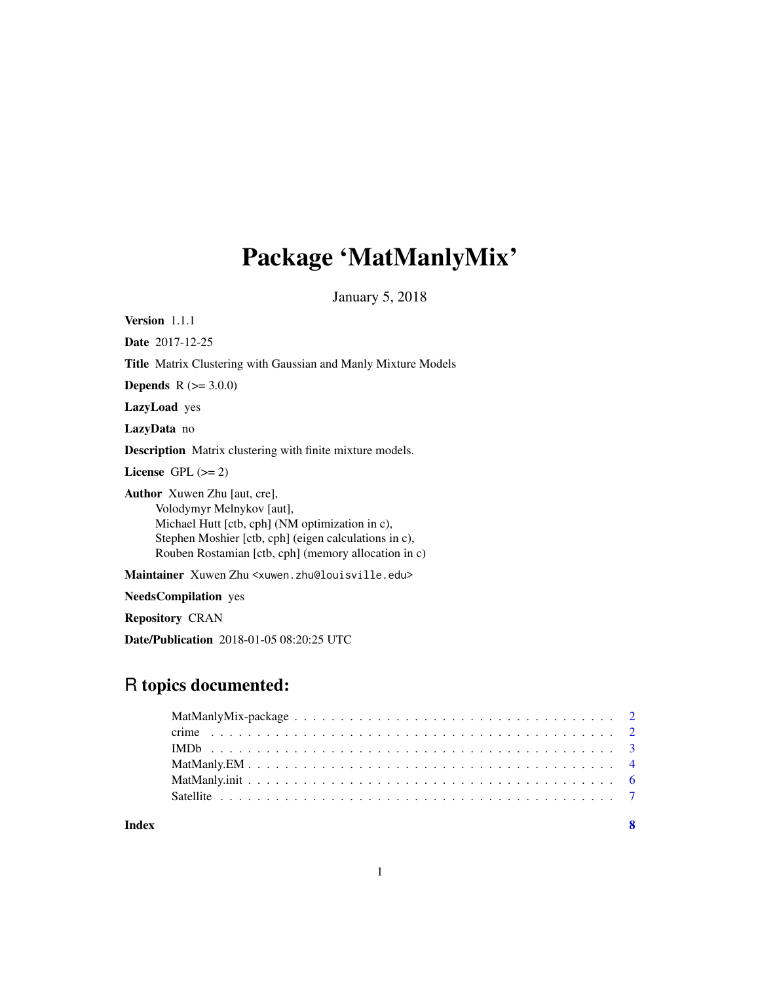## Package 'MatManlyMix'

January 5, 2018

Version 1.1.1

Date 2017-12-25

Title Matrix Clustering with Gaussian and Manly Mixture Models

**Depends** R  $(>= 3.0.0)$ 

LazyLoad yes

LazyData no

Description Matrix clustering with finite mixture models.

License GPL  $(>= 2)$ 

Author Xuwen Zhu [aut, cre], Volodymyr Melnykov [aut], Michael Hutt [ctb, cph] (NM optimization in c), Stephen Moshier [ctb, cph] (eigen calculations in c), Rouben Rostamian [ctb, cph] (memory allocation in c)

Maintainer Xuwen Zhu <xuwen.zhu@louisville.edu>

NeedsCompilation yes

Repository CRAN

Date/Publication 2018-01-05 08:20:25 UTC

### R topics documented:

| Index |  |
|-------|--|

1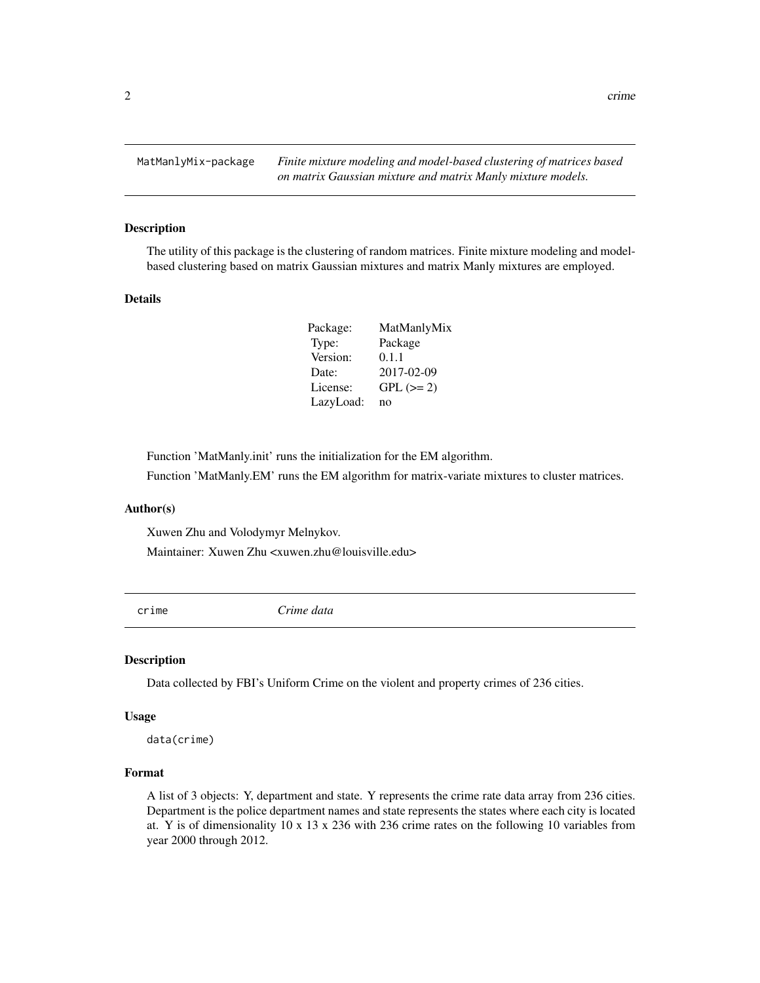<span id="page-1-0"></span>

The utility of this package is the clustering of random matrices. Finite mixture modeling and modelbased clustering based on matrix Gaussian mixtures and matrix Manly mixtures are employed.

#### Details

| Package:  | MatManlyMix |
|-----------|-------------|
| Type:     | Package     |
| Version:  | 0.1.1       |
| Date:     | 2017-02-09  |
| License:  | $GPL (=2)$  |
| LazyLoad: | no          |

Function 'MatManly.init' runs the initialization for the EM algorithm.

Function 'MatManly.EM' runs the EM algorithm for matrix-variate mixtures to cluster matrices.

#### Author(s)

Xuwen Zhu and Volodymyr Melnykov. Maintainer: Xuwen Zhu <xuwen.zhu@louisville.edu>

crime *Crime data*

#### Description

Data collected by FBI's Uniform Crime on the violent and property crimes of 236 cities.

#### Usage

data(crime)

#### Format

A list of 3 objects: Y, department and state. Y represents the crime rate data array from 236 cities. Department is the police department names and state represents the states where each city is located at. Y is of dimensionality 10 x 13 x 236 with 236 crime rates on the following 10 variables from year 2000 through 2012.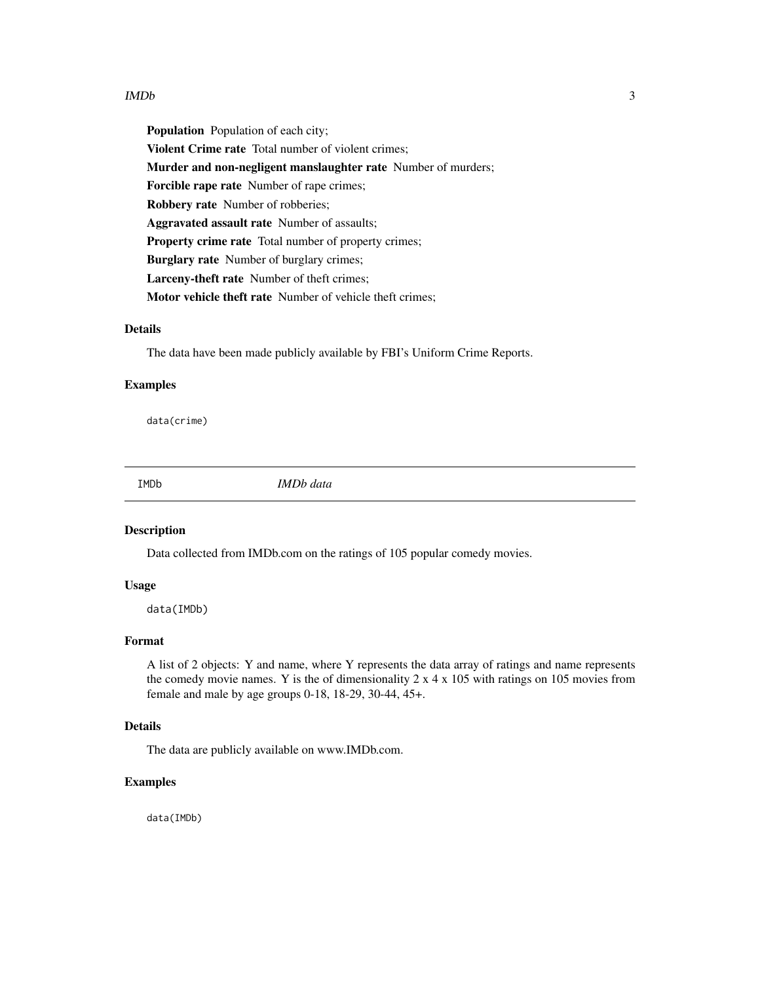#### <span id="page-2-0"></span> $IMDb$  3

Population Population of each city; Violent Crime rate Total number of violent crimes; Murder and non-negligent manslaughter rate Number of murders; Forcible rape rate Number of rape crimes; Robbery rate Number of robberies; Aggravated assault rate Number of assaults; Property crime rate Total number of property crimes; Burglary rate Number of burglary crimes; Larceny-theft rate Number of theft crimes; Motor vehicle theft rate Number of vehicle theft crimes;

#### Details

The data have been made publicly available by FBI's Uniform Crime Reports.

#### Examples

data(crime)

IMDb *IMDb data*

#### Description

Data collected from IMDb.com on the ratings of 105 popular comedy movies.

#### Usage

data(IMDb)

#### Format

A list of 2 objects: Y and name, where Y represents the data array of ratings and name represents the comedy movie names. Y is the of dimensionality  $2 \times 4 \times 105$  with ratings on 105 movies from female and male by age groups 0-18, 18-29, 30-44, 45+.

#### Details

The data are publicly available on www.IMDb.com.

#### Examples

data(IMDb)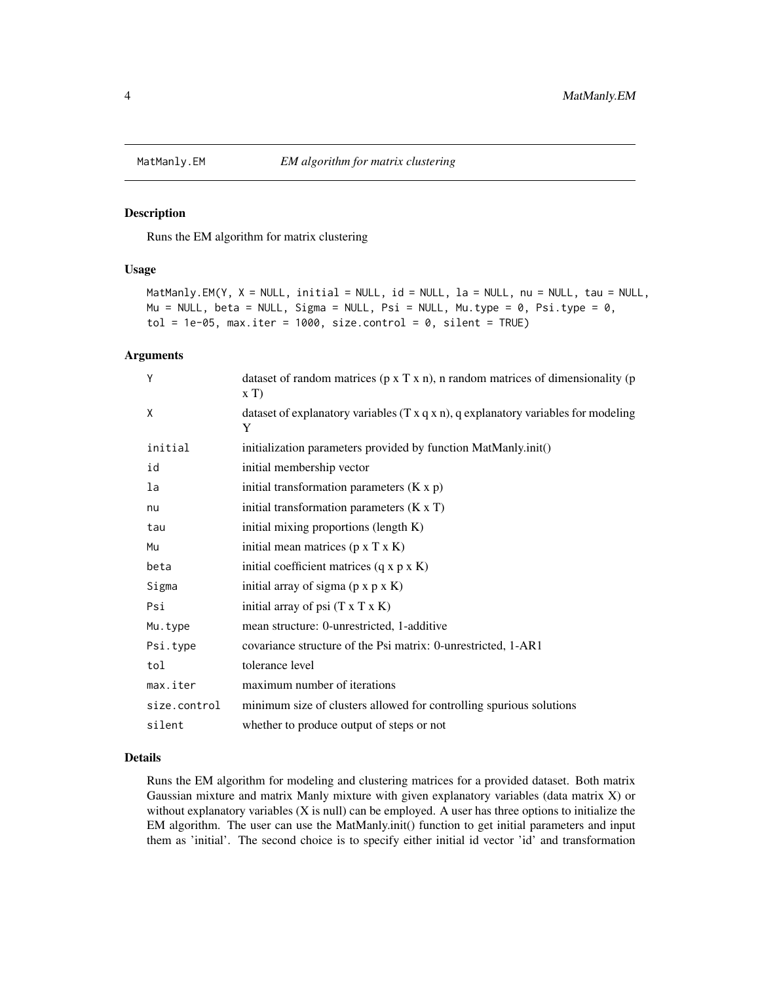<span id="page-3-0"></span>

Runs the EM algorithm for matrix clustering

#### Usage

```
MatManly.EM(Y, X = NULL, initial = NULL, id = NULL, la = NULL, nu = NULL, tau = NULL,
Mu = NULL, beta = NULL, Sigma = NULL, Psi = NULL, Mu.type = \theta, Psi.type = \theta,
tol = 1e-05, max.iter = 1000, size.control = 0, silent = TRUE)
```
#### Arguments

| Υ            | dataset of random matrices ( $p \times T \times n$ ), n random matrices of dimensionality ( $p$<br>xT |
|--------------|-------------------------------------------------------------------------------------------------------|
| X            | dataset of explanatory variables $(T x q x n)$ , q explanatory variables for modeling<br>Y            |
| initial      | initialization parameters provided by function MatManly.init()                                        |
| id           | initial membership vector                                                                             |
| la           | initial transformation parameters $(K x p)$                                                           |
| nu           | initial transformation parameters $(K \times T)$                                                      |
| tau          | initial mixing proportions (length K)                                                                 |
| Mu           | initial mean matrices $(p \times T \times K)$                                                         |
| beta         | initial coefficient matrices $(q \times p \times K)$                                                  |
| Sigma        | initial array of sigma $(p \times p \times K)$                                                        |
| Psi          | initial array of psi $(T \times T \times K)$                                                          |
| Mu.type      | mean structure: 0-unrestricted, 1-additive                                                            |
| Psi.type     | covariance structure of the Psi matrix: 0-unrestricted, 1-AR1                                         |
| tol          | tolerance level                                                                                       |
| max.iter     | maximum number of iterations                                                                          |
| size.control | minimum size of clusters allowed for controlling spurious solutions                                   |
| silent       | whether to produce output of steps or not                                                             |

#### Details

Runs the EM algorithm for modeling and clustering matrices for a provided dataset. Both matrix Gaussian mixture and matrix Manly mixture with given explanatory variables (data matrix X) or without explanatory variables  $(X$  is null) can be employed. A user has three options to initialize the EM algorithm. The user can use the MatManly.init() function to get initial parameters and input them as 'initial'. The second choice is to specify either initial id vector 'id' and transformation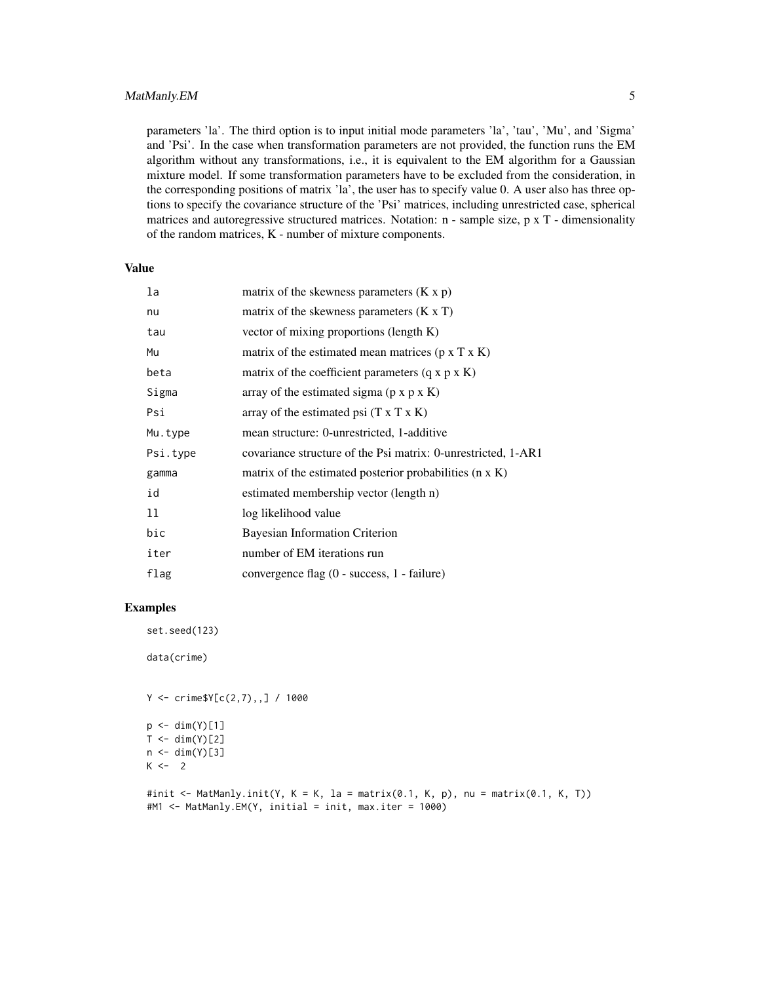#### MatManly.EM 5

parameters 'la'. The third option is to input initial mode parameters 'la', 'tau', 'Mu', and 'Sigma' and 'Psi'. In the case when transformation parameters are not provided, the function runs the EM algorithm without any transformations, i.e., it is equivalent to the EM algorithm for a Gaussian mixture model. If some transformation parameters have to be excluded from the consideration, in the corresponding positions of matrix 'la', the user has to specify value 0. A user also has three options to specify the covariance structure of the 'Psi' matrices, including unrestricted case, spherical matrices and autoregressive structured matrices. Notation: n - sample size, p x T - dimensionality of the random matrices, K - number of mixture components.

#### Value

| la       | matrix of the skewness parameters $(K x p)$                    |
|----------|----------------------------------------------------------------|
| nu       | matrix of the skewness parameters $(K \times T)$               |
| tau      | vector of mixing proportions (length K)                        |
| Mu       | matrix of the estimated mean matrices $(p \times T \times K)$  |
| beta     | matrix of the coefficient parameters $(q \times p \times K)$   |
| Sigma    | array of the estimated sigma $(p \times p \times K)$           |
| Psi      | array of the estimated psi $(T \times T \times K)$             |
| Mu.type  | mean structure: 0-unrestricted, 1-additive                     |
| Psi.type | covariance structure of the Psi matrix: 0-unrestricted, 1-AR1  |
| gamma    | matrix of the estimated posterior probabilities $(n \times K)$ |
| id       | estimated membership vector (length n)                         |
| 11       | log likelihood value                                           |
| bic      | Bayesian Information Criterion                                 |
| iter     | number of EM iterations run                                    |
| flag     | convergence flag (0 - success, 1 - failure)                    |

#### Examples

set.seed(123)

data(crime)

 $Y \le -$  crime\$Y[c(2,7),,] / 1000

```
p \leftarrow \text{dim}(Y)[1]T \leftarrow \text{dim}(Y)[2]n < -dim(Y)[3]K < -2
```

```
#init <- MatManly.init(Y, K = K, la = matrix(0.1, K, p), nu = matrix(0.1, K, T))
#M1 <- MatManly.EM(Y, initial = init, max.iter = 1000)
```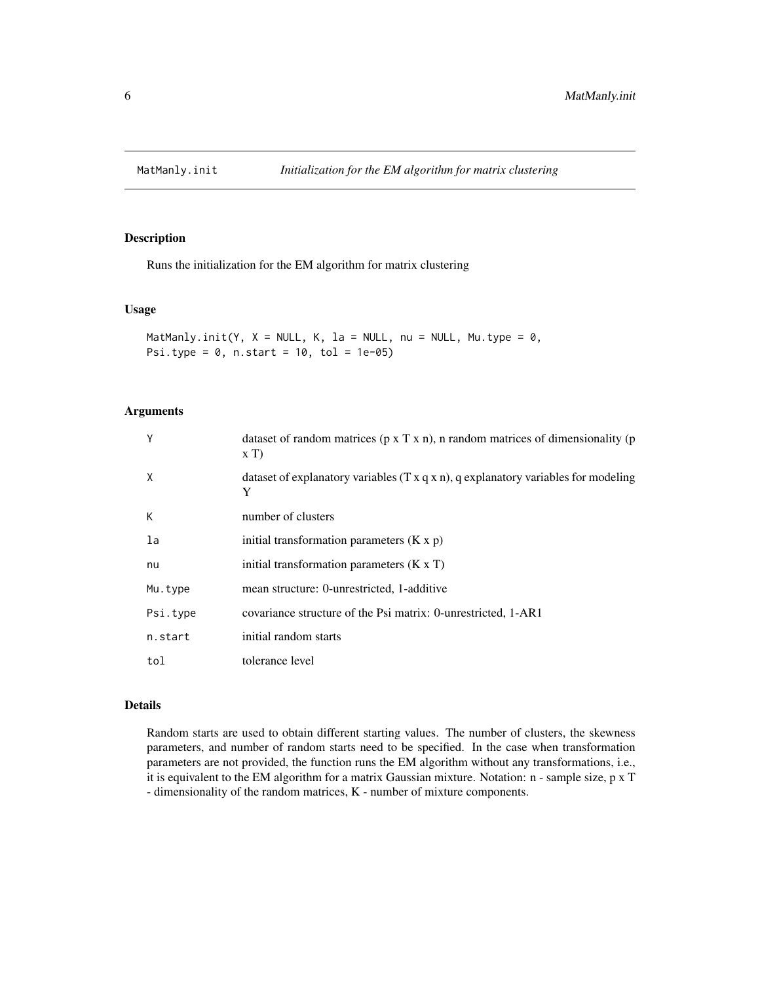<span id="page-5-0"></span>

Runs the initialization for the EM algorithm for matrix clustering

#### Usage

```
MatManly.init(Y, X = NULL, K, la = NULL, nu = NULL, Mu.type = 0,
Psi.type = 0, n.start = 10, tol = 1e-05
```
#### Arguments

| Υ        | dataset of random matrices ( $p \times T \times n$ ), n random matrices of dimensionality ( $p$<br>xT |
|----------|-------------------------------------------------------------------------------------------------------|
| X        | dataset of explanatory variables $(T \times q \times n)$ , q explanatory variables for modeling<br>Y  |
| К        | number of clusters                                                                                    |
| la       | initial transformation parameters $(K x p)$                                                           |
| nu       | initial transformation parameters $(K \times T)$                                                      |
| Mu.type  | mean structure: 0-unrestricted, 1-additive                                                            |
| Psi.type | covariance structure of the Psi matrix: 0-unrestricted, 1-AR1                                         |
| n.start  | initial random starts                                                                                 |
| tol      | tolerance level                                                                                       |

#### Details

Random starts are used to obtain different starting values. The number of clusters, the skewness parameters, and number of random starts need to be specified. In the case when transformation parameters are not provided, the function runs the EM algorithm without any transformations, i.e., it is equivalent to the EM algorithm for a matrix Gaussian mixture. Notation: n - sample size, p x T - dimensionality of the random matrices, K - number of mixture components.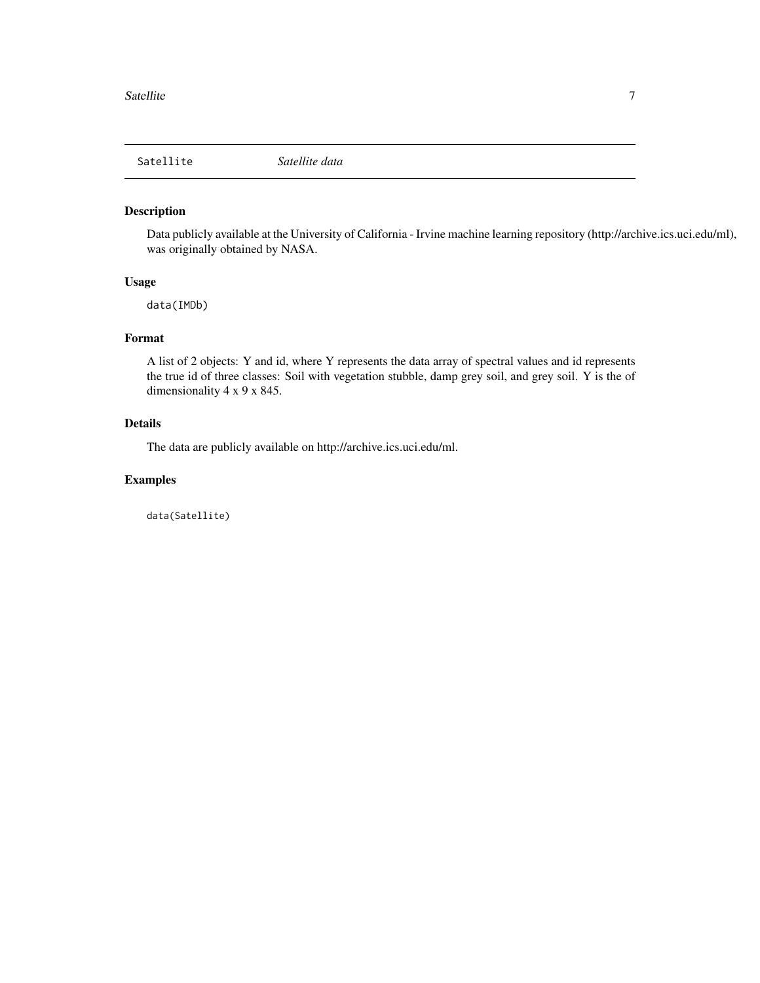<span id="page-6-0"></span>

Data publicly available at the University of California - Irvine machine learning repository (http://archive.ics.uci.edu/ml), was originally obtained by NASA.

#### Usage

data(IMDb)

#### Format

A list of 2 objects: Y and id, where Y represents the data array of spectral values and id represents the true id of three classes: Soil with vegetation stubble, damp grey soil, and grey soil. Y is the of dimensionality 4 x 9 x 845.

#### Details

The data are publicly available on http://archive.ics.uci.edu/ml.

#### Examples

data(Satellite)